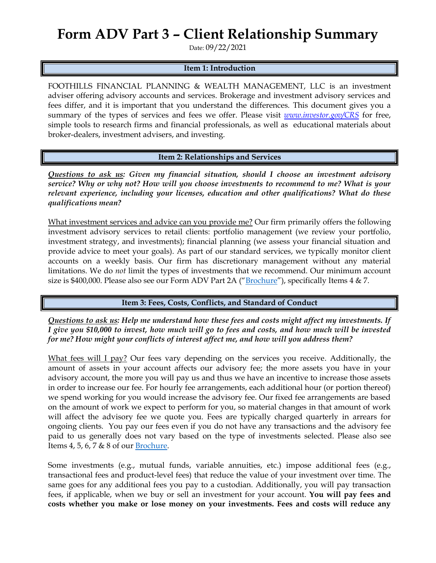## **Form ADV Part 3 – Client Relationship Summary**

Date: 09/22/2021

## **Item 1: Introduction**

FOOTHILLS FINANCIAL PLANNING & WEALTH MANAGEMENT, LLC is an investment adviser offering advisory accounts and services. Brokerage and investment advisory services and fees differ, and it is important that you understand the differences. This document gives you a summary of the types of services and fees we offer. Please visit *[www.investor.gov/CRS](http://www.investor.gov/CRS)* for free, simple tools to research firms and financial professionals, as well as educational materials about broker-dealers, investment advisers, and investing.

**Item 2: Relationships and Services**

*Questions to ask us: Given my financial situation, should I choose an investment advisory service? Why or why not? How will you choose investments to recommend to me? What is your relevant experience, including your licenses, education and other qualifications? What do these qualifications mean?*

What investment services and advice can you provide me? Our firm primarily offers the following investment advisory services to retail clients: portfolio management (we review your portfolio, investment strategy, and investments); financial planning (we assess your financial situation and provide advice to meet your goals). As part of our standard services, we typically monitor client accounts on a weekly basis. Our firm has discretionary management without any material limitations. We do *not* limit the types of investments that we recommend. Our minimum account size is \$400,000. Please also see our Form ADV Part 2A ("**[Brochure](https://adviserinfo.sec.gov/firm/summary/147270)"**), specifically Items 4 & 7.

## **Item 3: Fees, Costs, Conflicts, and Standard of Conduct**

*Questions to ask us: Help me understand how these fees and costs might affect my investments. If I give you \$10,000 to invest, how much will go to fees and costs, and how much will be invested for me? How might your conflicts of interest affect me, and how will you address them?* 

What fees will I pay? Our fees vary depending on the services you receive. Additionally, the amount of assets in your account affects our advisory fee; the more assets you have in your advisory account, the more you will pay us and thus we have an incentive to increase those assets in order to increase our fee. For hourly fee arrangements, each additional hour (or portion thereof) we spend working for you would increase the advisory fee. Our fixed fee arrangements are based on the amount of work we expect to perform for you, so material changes in that amount of work will affect the advisory fee we quote you. Fees are typically charged quarterly in arrears for ongoing clients. You pay our fees even if you do not have any transactions and the advisory fee paid to us generally does not vary based on the type of investments selected. Please also see Items 4, 5, 6, 7 & 8 of our [Brochure.](https://adviserinfo.sec.gov/firm/summary/147270)

Some investments (e.g., mutual funds, variable annuities, etc.) impose additional fees (e.g., transactional fees and product-level fees) that reduce the value of your investment over time. The same goes for any additional fees you pay to a custodian. Additionally, you will pay transaction fees, if applicable, when we buy or sell an investment for your account. **You will pay fees and costs whether you make or lose money on your investments. Fees and costs will reduce any**